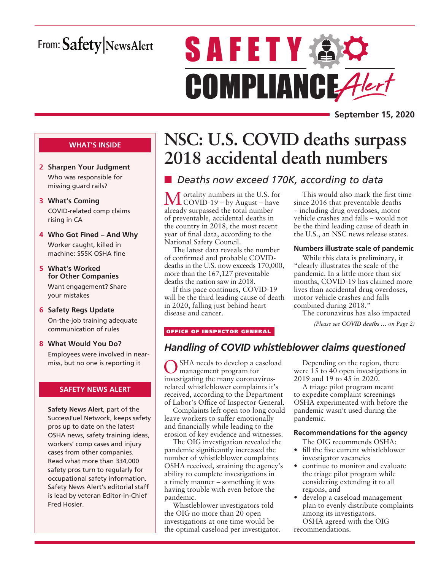# From: Safety NewsAlert

# **SAFETY & O** COMPLIANCE Alert

**September 15, 2020**

This would also mark the first time since 2016 that preventable deaths – including drug overdoses, motor vehicle crashes and falls – would not be the third leading cause of death in the U.S., an NSC news release states.

**Numbers illustrate scale of pandemic** While this data is preliminary, it "clearly illustrates the scale of the pandemic. In a little more than six months, COVID-19 has claimed more lives than accidental drug overdoses, motor vehicle crashes and falls combined during 2018."

The coronavirus has also impacted

*(Please see COVID deaths … on Page 2)*

### **WHAT'S INSIDE**

- **2 Sharpen Your Judgment** Who was responsible for missing guard rails?
- **3 What's Coming** COVID-related comp claims rising in CA
- **4 Who Got Fined And Why** Worker caught, killed in machine: \$55K OSHA fine
- **5 What's Worked for Other Companies** Want engagement? Share your mistakes
- **6 Safety Regs Update** On-the-job training adequate communication of rules
- **8 What Would You Do?** Employees were involved in nearmiss, but no one is reporting it

### **SAFETY NEWS ALERT**

**Safety News Alert**, part of the SuccessFuel Network, keeps safety pros up to date on the latest OSHA news, safety training ideas, workers' comp cases and injury cases from other companies. Read what more than 334,000 safety pros turn to regularly for occupational safety information. Safety News Alert's editorial staff is lead by veteran Editor-in-Chief Fred Hosier.

# **NSC: U.S. COVID deaths surpass 2018 accidental death numbers**

# ■ Deaths now exceed 170K, according to data

Mortality numbers in the U.S. for COVID-19 – by August – have already surpassed the total number of preventable, accidental deaths in the country in 2018, the most recent year of final data, according to the National Safety Council.

The latest data reveals the number of confirmed and probable COVIDdeaths in the U.S. now exceeds 170,000, more than the 167,127 preventable deaths the nation saw in 2018.

If this pace continues, COVID-19 will be the third leading cause of death in 2020, falling just behind heart disease and cancer.

### OFFICE OF INSPECTOR GENERAL

## *Handling of COVID whistleblower claims questioned*

SHA needs to develop a caseload management program for investigating the many coronavirusrelated whistleblower complaints it's received, according to the Department of Labor's Office of Inspector General.

Complaints left open too long could leave workers to suffer emotionally and financially while leading to the erosion of key evidence and witnesses.

The OIG investigation revealed the pandemic significantly increased the number of whistleblower complaints OSHA received, straining the agency's ability to complete investigations in a timely manner – something it was having trouble with even before the pandemic.

Whistleblower investigators told the OIG no more than 20 open investigations at one time would be the optimal caseload per investigator.

Depending on the region, there were 15 to 40 open investigations in 2019 and 19 to 45 in 2020.

A triage pilot program meant to expedite complaint screenings OSHA experimented with before the pandemic wasn't used during the pandemic.

### **Recommendations for the agency**

The OIG recommends OSHA:

- fill the five current whistleblower investigator vacancies
- continue to monitor and evaluate the triage pilot program while considering extending it to all regions, and
- develop a caseload management plan to evenly distribute complaints among its investigators. OSHA agreed with the OIG

recommendations.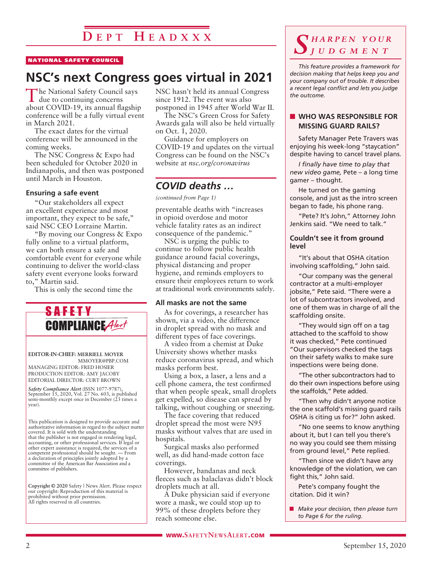# **D e p t H e a d x x x**

#### NATIONAL SAFETY COUNCIL

# **NSC's next Congress goes virtual in 2021**

The National Safety Council says **d** due to continuing concerns about COVID-19, its annual flagship conference will be a fully virtual event in March 2021.

The exact dates for the virtual conference will be announced in the coming weeks.

The NSC Congress & Expo had been scheduled for October 2020 in Indianapolis, and then was postponed until March in Houston.

### **Ensuring a safe event**

"Our stakeholders all expect an excellent experience and most important, they expect to be safe," said NSC CEO Lorraine Martin.

"By moving our Congress & Expo fully online to a virtual platform, we can both ensure a safe and comfortable event for everyone while continuing to deliver the world-class safety event everyone looks forward to," Martin said.

This is only the second time the



### **EDITOR-IN-CHIEF: MERRIELL MOYER**

MMOYER@PBP.COM MANAGING EDITOR: FRED HOSIER PRODUCTION EDITOR: AMY JACOBY EDITORIAL DIRECTOR: CURT BROWN

*Safety Compliance Alert* (ISSN 1077-9787), September 15, 2020, Vol. 27 No. 603, is published semi-monthly except once in December (23 times a year).

This publication is designed to provide accurate and authoritative information in regard to the subject matter covered. It is sold with the understanding that the publisher is not engaged in rendering legal, accounting, or other professional services. If legal or other expert assistance is required, the services of a competent professional should be sought. — From a declaration of principles jointly adopted by a committee of the American Bar Association and a committee of publishers.

**Copyright © 2020** Safety | News Alert. Please respect our copyright: Reproduction of this material is prohibited without prior permission. All rights reserved in all countries.

NSC hasn't held its annual Congress since 1912. The event was also postponed in 1945 after World War II.

The NSC's Green Cross for Safety Awards gala will also be held virtually on Oct. 1, 2020.

Guidance for employers on COVID-19 and updates on the virtual Congress can be found on the NSC's website at *nsc.org/coronavirus*

### *COVID deaths …*

*(continued from Page 1)*

preventable deaths with "increases in opioid overdose and motor vehicle fatality rates as an indirect consequence of the pandemic."

NSC is urging the public to continue to follow public health guidance around facial coverings, physical distancing and proper hygiene, and reminds employers to ensure their employees return to work at traditional work environments safely.

### **All masks are not the same**

As for coverings, a researcher has shown, via a video, the difference in droplet spread with no mask and different types of face coverings.

A video from a chemist at Duke University shows whether masks reduce coronavirus spread, and which masks perform best.

Using a box, a laser, a lens and a cell phone camera, the test confirmed that when people speak, small droplets get expelled, so disease can spread by talking, without coughing or sneezing.

The face covering that reduced droplet spread the most were N95 masks without valves that are used in hospitals.

Surgical masks also performed well, as did hand-made cotton face coverings.

However, bandanas and neck fleeces such as balaclavas didn't block droplets much at all.

A Duke physician said if everyone wore a mask, we could stop up to 99% of these droplets before they reach someone else.

### *S h a r p e n y o u r j u d g m e n t*

*This feature provides a framework for decision making that helps keep you and your company out of trouble. It describes a recent legal conflict and lets you judge the outcome.*

### **NO WAS RESPONSIBLE FOR MISSING GUARD RAILS?**

Safety Manager Pete Travers was enjoying his week-long "staycation" despite having to cancel travel plans.

*I finally have time to play that new video game,* Pete – a long time gamer – thought.

He turned on the gaming console, and just as the intro screen began to fade, his phone rang.

"Pete? It's John," Attorney John Jenkins said. "We need to talk."

### **Couldn't see it from ground level**

"It's about that OSHA citation involving scaffolding," John said.

"Our company was the general contractor at a multi-employer jobsite," Pete said. "There were a lot of subcontractors involved, and one of them was in charge of all the scaffolding onsite.

"They would sign off on a tag attached to the scaffold to show it was checked," Pete continued "Our supervisors checked the tags on their safety walks to make sure inspections were being done.

"The other subcontractors had to do their own inspections before using the scaffolds," Pete added.

"Then why didn't anyone notice the one scaffold's missing guard rails OSHA is citing us for?" John asked.

"No one seems to know anything about it, but I can tell you there's no way you could see them missing from ground level," Pete replied.

"Then since we didn't have any knowledge of the violation, we can fight this," John said.

Pete's company fought the citation. Did it win?

**n** *Make your decision, then please turn to Page 6 for the ruling.*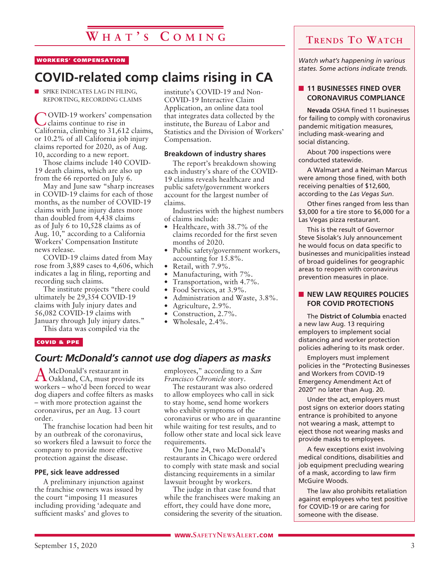# **W h a t ' s C o m i n g**

### WORKERS' COMPENSATION

# **COVID-related comp claims rising in CA**

**NO SPIKE INDICATES LAG IN FILING,** REPORTING, RECORDING CLAIMS

COVID-19 workers' compensation claims continue to rise in California, climbing to 31,612 claims, or 10.2% of all California job injury claims reported for 2020, as of Aug. 10, according to a new report.

Those claims include 140 COVID-19 death claims, which are also up from the 66 reported on July 6.

May and June saw "sharp increases in COVID-19 claims for each of those months, as the number of COVID-19 claims with June injury dates more than doubled from 4,438 claims as of July 6 to 10,528 claims as of Aug. 10," according to a California Workers' Compensation Institute news release.

COVID-19 claims dated from May rose from 3,889 cases to 4,606, which indicates a lag in filing, reporting and recording such claims.

The institute projects "there could ultimately be 29,354 COVID-19 claims with July injury dates and 56,082 COVID-19 claims with January through July injury dates."

This data was compiled via the

COVID & PPE

### *Court: McDonald's cannot use dog diapers as masks*

AMcDonald's restaurant in Oakland, CA, must provide its workers – who'd been forced to wear dog diapers and coffee filters as masks – with more protection against the coronavirus, per an Aug. 13 court order.

The franchise location had been hit by an outbreak of the coronavirus, so workers filed a lawsuit to force the company to provide more effective protection against the disease.

### **PPE, sick leave addressed**

A preliminary injunction against the franchise owners was issued by the court "imposing 11 measures including providing 'adequate and sufficient masks' and gloves to

institute's COVID-19 and Non-COVID-19 Interactive Claim Application, an online data tool that integrates data collected by the institute, the Bureau of Labor and Statistics and the Division of Workers' Compensation.

### **Breakdown of industry shares**

The report's breakdown showing each industry's share of the COVID-19 claims reveals healthcare and public safety/government workers account for the largest number of claims.

Industries with the highest numbers of claims include:

- Healthcare, with 38.7% of the claims recorded for the first seven months of 2020.
- Public safety/government workers, accounting for 15.8%.
- Retail, with 7.9%.
- Manufacturing, with 7%.
- Transportation, with 4.7%.
- Food Services, at 3.9%.
- Administration and Waste, 3.8%.
- Agriculture, 2.9%.
- Construction, 2.7%.
- Wholesale, 2.4%.

employees," according to a *San Francisco Chronicle* story.

The restaurant was also ordered to allow employees who call in sick to stay home, send home workers who exhibit symptoms of the coronavirus or who are in quarantine while waiting for test results, and to follow other state and local sick leave requirements.

On June 24, two McDonald's restaurants in Chicago were ordered to comply with state mask and social distancing requirements in a similar lawsuit brought by workers.

The judge in that case found that while the franchisees were making an effort, they could have done more, considering the severity of the situation.

### **Trends To Watch**

*Watch what's happening in various states. Some actions indicate trends.*

### **11 BUSINESSES FINED OVER CORONAVIRUS COMPLIANCE**

**Nevada** OSHA fined 11 businesses for failing to comply with coronavirus pandemic mitigation measures, including mask-wearing and social distancing.

About 700 inspections were conducted statewide.

A Walmart and a Neiman Marcus were among those fined, with both receiving penalties of \$12,600, according to the *Las Vegas Sun*.

Other fines ranged from less than \$3,000 for a tire store to \$6,000 for a Las Vegas pizza restaurant.

This is the result of Governor Steve Sisolak's July announcement he would focus on data specific to businesses and municipalities instead of broad guidelines for geographic areas to reopen with coronavirus prevention measures in place.

### **NEW LAW REQUIRES POLICIES FOR COVID PROTECTIONS**

The **District of Columbia** enacted a new law Aug. 13 requiring employers to implement social distancing and worker protection policies adhering to its mask order.

Employers must implement policies in the "Protecting Businesses and Workers from COVID-19 Emergency Amendment Act of 2020" no later than Aug. 20.

Under the act, employers must post signs on exterior doors stating entrance is prohibited to anyone not wearing a mask, attempt to eject those not wearing masks and provide masks to employees.

A few exceptions exist involving medical conditions, disabilities and job equipment precluding wearing of a mask, according to law firm McGuire Woods.

The law also prohibits retaliation against employees who test positive for COVID-19 or are caring for someone with the disease.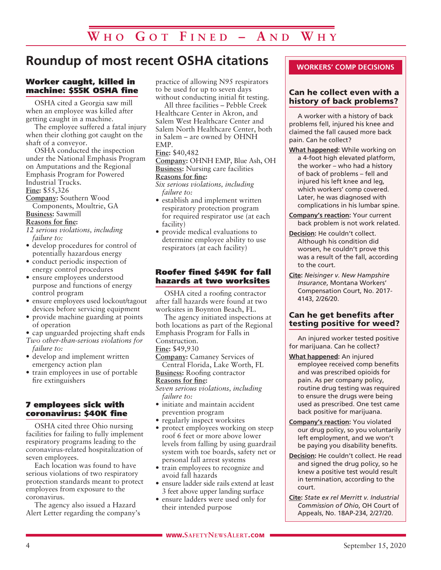# **Roundup of most recent OSHA citations**

### Worker caught, killed in machine: \$55K OSHA fine

OSHA cited a Georgia saw mill when an employee was killed after getting caught in a machine.

The employee suffered a fatal injury when their clothing got caught on the shaft of a conveyor.

OSHA conducted the inspection under the National Emphasis Program on Amputations and the Regional Emphasis Program for Powered Industrial Trucks. **Fine:** \$55,326

**Company:** Southern Wood

Components, Moultrie, GA **Business:** Sawmill

**Reasons for fine:**

- *12 serious violations, including failure to:*
- develop procedures for control of potentially hazardous energy
- conduct periodic inspection of energy control procedures
- ensure employees understood purpose and functions of energy control program
- ensure employees used lockout/tagout devices before servicing equipment
- provide machine guarding at points of operation
- cap unguarded projecting shaft ends
- *Two other-than-serious violations for failure to:*
- develop and implement written emergency action plan
- train employees in use of portable fire extinguishers

### 7 employees sick with coronavirus: \$40K fine

OSHA cited three Ohio nursing facilities for failing to fully implement respiratory programs leading to the coronavirus-related hospitalization of seven employees.

Each location was found to have serious violations of two respiratory protection standards meant to protect employees from exposure to the coronavirus.

The agency also issued a Hazard Alert Letter regarding the company's

practice of allowing N95 respirators to be used for up to seven days without conducting initial fit testing.

All three facilities – Pebble Creek Healthcare Center in Akron, and Salem West Healthcare Center and Salem North Healthcare Center, both in Salem – are owned by OHNH EMP.

### **Fine:** \$40,482

**Company:** OHNH EMP, Blue Ash, OH **Business:** Nursing care facilities **Reasons for fine:**

*Six serious violations, including failure to:*

- establish and implement written respiratory protection program for required respirator use (at each facility)
- provide medical evaluations to determine employee ability to use respirators (at each facility)

### Roofer fined \$49K for fall hazards at two worksites

OSHA cited a roofing contractor after fall hazards were found at two worksites in Boynton Beach, FL.

The agency initiated inspections at both locations as part of the Regional Emphasis Program for Falls in Construction. **Fine:** \$49,930

**Company:** Camaney Services of Central Florida, Lake Worth, FL **Business:** Roofing contractor

**Reasons for fine:**

*Seven serious violations, including failure to:*

- initiate and maintain accident prevention program
- regularly inspect worksites
- protect employees working on steep roof 6 feet or more above lower levels from falling by using guardrail system with toe boards, safety net or personal fall arrest systems
- train employees to recognize and avoid fall hazards
- ensure ladder side rails extend at least 3 feet above upper landing surface
- ensure ladders were used only for their intended purpose

### **WORKERS' COMP DECISIONS**

### Can he collect even with a history of back problems?

A worker with a history of back problems fell, injured his knee and claimed the fall caused more back pain. Can he collect?

- **What happened:** While working on a 4-foot high elevated platform, the worker – who had a history of back of problems – fell and injured his left knee and leg, which workers' comp covered. Later, he was diagnosed with complications in his lumbar spine.
- **Company's reaction:** Your current back problem is not work related.
- **Decision:** He couldn't collect. Although his condition did worsen, he couldn't prove this was a result of the fall, according to the court.
- **Cite:** *Neisinger v. New Hampshire Insurance*, Montana Workers' Compensation Court, No. 2017- 4143, 2/26/20.

### Can he get benefits after testing positive for weed?

An injured worker tested positive for marijuana. Can he collect?

- **What happened:** An injured employee received comp benefits and was prescribed opioids for pain. As per company policy, routine drug testing was required to ensure the drugs were being used as prescribed. One test came back positive for marijuana.
- **Company's reaction:** You violated our drug policy, so you voluntarily left employment, and we won't be paying you disability benefits.
- **Decision:** He couldn't collect. He read and signed the drug policy, so he knew a positive test would result in termination, according to the court.
- **Cite:** *State ex rel Merritt v. Industrial Commission of Ohio*, OH Court of Appeals, No. 18AP-234, 2/27/20.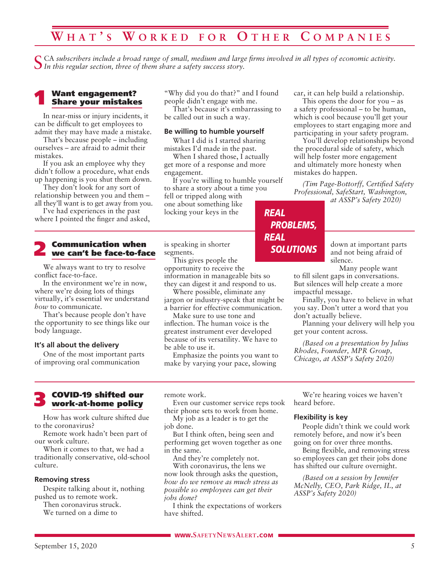# **W h a t ' s W o r k e d f o r O t h e r C o m p a n i e s**

CA subscribers include a broad range of small, medium and large firms involved in all types of economic activity. *In this regular section, three of them share a safety success story.*

### Want engagement? Share your mistakes

In near-miss or injury incidents, it can be difficult to get employees to admit they may have made a mistake.

That's because people – including ourselves – are afraid to admit their mistakes.

If you ask an employee why they didn't follow a procedure, what ends up happening is you shut them down.

They don't look for any sort of relationship between you and them – all they'll want is to get away from you.

I've had experiences in the past where I pointed the finger and asked,

# 2 Communication when we can't be face-to-face

We always want to try to resolve conflict face-to-face.

In the environment we're in now, where we're doing lots of things virtually, it's essential we understand *how* to communicate.

That's because people don't have the opportunity to see things like our body language.

#### **It's all about the delivery**

One of the most important parts of improving oral communication

"Why did you do that?" and I found people didn't engage with me.

That's because it's embarrassing to be called out in such a way.

### **Be willing to humble yourself**

What I did is I started sharing mistakes I'd made in the past.

When I shared those, I actually get more of a response and more engagement.

If you're willing to humble yourself to share a story about a time you fell or tripped along with one about something like locking your keys in the

is speaking in shorter segments.

This gives people the opportunity to receive the information in manageable bits so they can digest it and respond to us.

Where possible, eliminate any jargon or industry-speak that might be a barrier for effective communication.

Make sure to use tone and inflection. The human voice is the greatest instrument ever developed because of its versatility. We have to be able to use it.

Emphasize the points you want to make by varying your pace, slowing

car, it can help build a relationship.

This opens the door for you – as a safety professional – to be human, which is cool because you'll get your employees to start engaging more and participating in your safety program.

You'll develop relationships beyond the procedural side of safety, which will help foster more engagement and ultimately more honesty when mistakes do happen.

*(Tim Page-Bottorff, Certified Safety Professional, SafeStart, Washington,* 

*at ASSP's Safety 2020)*

## *REAL PROBLEMS, REAL SOLUTIONS*

down at important parts and not being afraid of silence.

Many people want

to fill silent gaps in conversations. But silences will help create a more impactful message.

Finally, you have to believe in what you say. Don't utter a word that you don't actually believe.

Planning your delivery will help you get your content across.

*(Based on a presentation by Julius Rhodes, Founder, MPR Group, Chicago, at ASSP's Safety 2020)*

# 3 COVID-19 shifted our work-at-home policy

How has work culture shifted due to the coronavirus?

Remote work hadn't been part of our work culture.

When it comes to that, we had a traditionally conservative, old-school culture.

### **Removing stress**

Despite talking about it, nothing pushed us to remote work.

Then coronavirus struck. We turned on a dime to

remote work.

Even our customer service reps took their phone sets to work from home.

My job as a leader is to get the job done.

But I think often, being seen and performing get woven together as one in the same.

And they're completely not.

With coronavirus, the lens we now look through asks the question, *how do we remove as much stress as possible so employees can get their jobs done?*

I think the expectations of workers have shifted.

We're hearing voices we haven't heard before.

#### **Flexibility is key**

People didn't think we could work remotely before, and now it's been going on for over three months.

Being flexible, and removing stress so employees can get their jobs done has shifted our culture overnight.

*(Based on a session by Jennifer McNelly, CEO, Park Ridge, IL, at ASSP's Safety 2020)*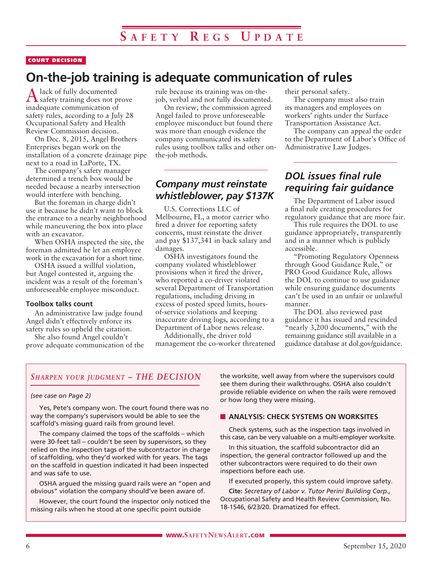### COURT DECISION

# **On-the-job training is adequate communication of rules**

Alack of fully documented safety training does not prove inadequate communication of safety rules, according to a July 28 Occupational Safety and Health Review Commission decision.

On Dec. 8, 2015, Angel Brothers Enterprises began work on the installation of a concrete drainage pipe next to a road in LaPorte, TX.

The company's safety manager determined a trench box would be needed because a nearby intersection would interfere with benching.

But the foreman in charge didn't use it because he didn't want to block the entrance to a nearby neighborhood while maneuvering the box into place with an excavator.

When OSHA inspected the site, the foreman admitted he let an employee work in the excavation for a short time.

OSHA issued a willful violation, but Angel contested it, arguing the incident was a result of the foreman's unforeseeable employee misconduct.

### **Toolbox talks count**

An administrative law judge found Angel didn't effectively enforce its safety rules so upheld the citation.

She also found Angel couldn't prove adequate communication of the rule because its training was on-thejob, verbal and not fully documented.

On review, the commission agreed Angel failed to prove unforeseeable employee misconduct but found there was more than enough evidence the company communicated its safety rules using toolbox talks and other onthe-job methods.

### *Company must reinstate whistleblower, pay \$137K*

U.S. Corrections LLC of Melbourne, FL, a motor carrier who fired a driver for reporting safety concerns, must reinstate the driver and pay \$137,341 in back salary and damages.

OSHA investigators found the company violated whistleblower provisions when it fired the driver, who reported a co-driver violated several Department of Transportation regulations, including driving in excess of posted speed limits, hoursof-service violations and keeping inaccurate driving logs, according to a Department of Labor news release.

Additionally, the driver told management the co-worker threatened their personal safety.

The company must also train its managers and employees on workers' rights under the Surface Transportation Assistance Act.

The company can appeal the order to the Department of Labor's Office of Administrative Law Judges.

### *DOL issues final rule requiring fair guidance*

The Department of Labor issued a final rule creating procedures for regulatory guidance that are more fair.

This rule requires the DOL to use guidance appropriately, transparently and in a manner which is publicly accessible.

"Promoting Regulatory Openness through Good Guidance Rule," or PRO Good Guidance Rule, allows the DOL to continue to use guidance while ensuring guidance documents can't be used in an unfair or unlawful manner.

The DOL also reviewed past guidance it has issued and rescinded 'nearly 3,200 documents," with the remaining guidance still available in a guidance database at dol.gov/guidance.

### *Sharpen your judgment – THE DECISION*

### *(see case on Page 2)*

Yes, Pete's company won. The court found there was no way the company's supervisors would be able to see the scaffold's missing guard rails from ground level.

The company claimed the tops of the scaffolds – which were 30-feet tall – couldn't be seen by supervisors, so they relied on the inspection tags of the subcontractor in charge of scaffolding, who they'd worked with for years. The tags on the scaffold in question indicated it had been inspected and was safe to use.

OSHA argued the missing guard rails were an "open and obvious" violation the company should've been aware of.

However, the court found the inspector only noticed the missing rails when he stood at one specific point outside

the worksite, well away from where the supervisors could see them during their walkthroughs. OSHA also couldn't provide reliable evidence on when the rails were removed or how long they were missing.

### **N** ANALYSIS: CHECK SYSTEMS ON WORKSITES

Check systems, such as the inspection tags involved in this case, can be very valuable on a multi-employer worksite.

In this situation, the scaffold subcontractor did an inspection, the general contractor followed up and the other subcontractors were required to do their own inspections before each use.

If executed properly, this system could improve safety.

**Cite:** *Secretary of Labor v. Tutor Perini Building Corp.,* Occupational Safety and Health Review Commission, No. 18-1546, 6/23/20. Dramatized for effect.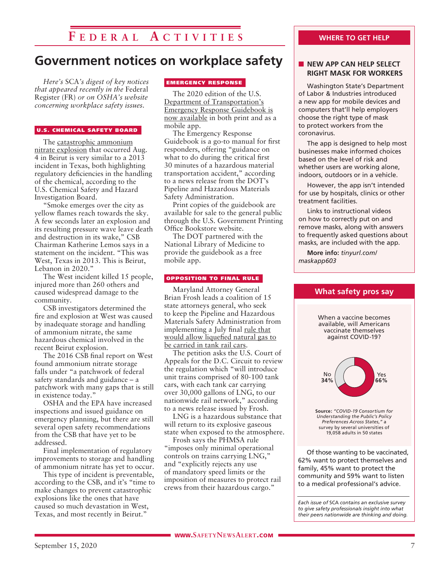# **F e d e r a l A c t i v i t i e s**

# **Government notices on workplace safety**

*Here's* SCA*'s digest of key notices that appeared recently in the* Federal Register (FR) *or on OSHA's website concerning workplace safety issues.* 

#### U.S. CHEMICAL SAFETY BOARD

The catastrophic ammonium nitrate explosion that occurred Aug. 4 in Beirut is very similar to a 2013 incident in Texas, both highlighting regulatory deficiencies in the handling of the chemical, according to the U.S. Chemical Safety and Hazard Investigation Board.

"Smoke emerges over the city as yellow flames reach towards the sky. A few seconds later an explosion and its resulting pressure wave leave death and destruction in its wake," CSB Chairman Katherine Lemos says in a statement on the incident. "This was West, Texas in 2013. This is Beirut, Lebanon in 2020."

The West incident killed 15 people, injured more than 260 others and caused widespread damage to the community.

CSB investigators determined the fire and explosion at West was caused by inadequate storage and handling of ammonium nitrate, the same hazardous chemical involved in the recent Beirut explosion.

The 2016 CSB final report on West found ammonium nitrate storage falls under "a patchwork of federal safety standards and guidance – a patchwork with many gaps that is still in existence today."

OSHA and the EPA have increased inspections and issued guidance on emergency planning, but there are still several open safety recommendations from the CSB that have yet to be addressed.

Final implementation of regulatory improvements to storage and handling of ammonium nitrate has yet to occur.

This type of incident is preventable, according to the CSB, and it's "time to make changes to prevent catastrophic explosions like the ones that have caused so much devastation in West, Texas, and most recently in Beirut."

### EMERGENCY RESPONSE

The 2020 edition of the U.S. Department of Transportation's Emergency Response Guidebook is now available in both print and as a mobile app.

The Emergency Response Guidebook is a go-to manual for first responders, offering "guidance on what to do during the critical first 30 minutes of a hazardous material transportation accident," according to a news release from the DOT's Pipeline and Hazardous Materials Safety Administration.

Print copies of the guidebook are available for sale to the general public through the U.S. Government Printing Office Bookstore website.

The DOT partnered with the National Library of Medicine to provide the guidebook as a free mobile app.

#### OPPOSITION TO FINAL RULE

Maryland Attorney General Brian Frosh leads a coalition of 15 state attorneys general, who seek to keep the Pipeline and Hazardous Materials Safety Administration from implementing a July final rule that would allow liquefied natural gas to be carried in tank rail cars.

The petition asks the U.S. Court of Appeals for the D.C. Circuit to review the regulation which "will introduce unit trains comprised of 80-100 tank cars, with each tank car carrying over 30,000 gallons of LNG, to our nationwide rail network," according to a news release issued by Frosh.

LNG is a hazardous substance that will return to its explosive gaseous state when exposed to the atmosphere.

Frosh says the PHMSA rule "imposes only minimal operational controls on trains carrying LNG," and "explicitly rejects any use of mandatory speed limits or the imposition of measures to protect rail crews from their hazardous cargo."

### **WHERE TO GET HELP**

### **NEW APP CAN HELP SELECT RIGHT MASK FOR WORKERS**

Washington State's Department of Labor & Industries introduced a new app for mobile devices and computers that'll help employers choose the right type of mask to protect workers from the coronavirus.

The app is designed to help most businesses make informed choices based on the level of risk and whether users are working alone, indoors, outdoors or in a vehicle.

However, the app isn't intended for use by hospitals, clinics or other treatment facilities.

Links to instructional videos on how to correctly put on and remove masks, along with answers to frequently asked questions about masks, are included with the app.

**More info:** *tinyurl.com/ maskapp603*



family, 45% want to protect the community and 59% want to listen to a medical professional's advice.

*Each issue of* SCA *contains an exclusive survey to give safety professionals insight into what their peers nationwide are thinking and doing.*